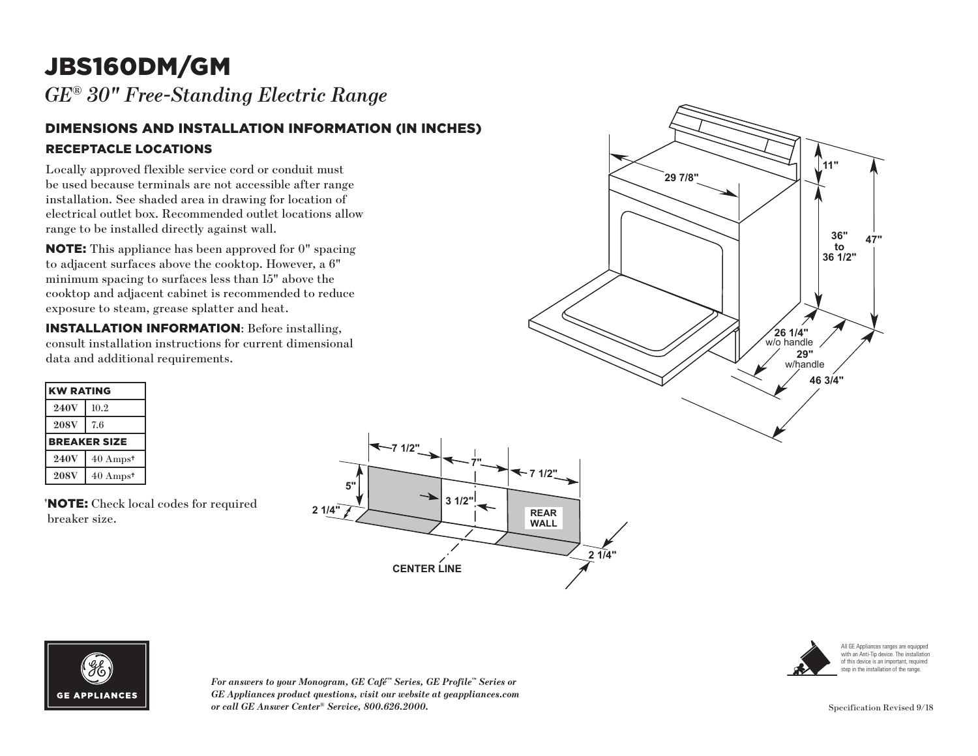# JBS160DM/GM

*GE® 30" Free-Standing Electric Range* 

#### DIMENSIONS AND INSTALLATION INFORMATION (IN INCHES) RECEPTACLE LOCATIONS

Locally approved flexible service cord or conduit must be used because terminals are not accessible after range installation. See shaded area in drawing for location of electrical outlet box. Recommended outlet locations allow range to be installed directly against wall.

NOTE: This appliance has been approved for 0" spacing to adjacent surfaces above the cooktop. However, a 6" minimum spacing to surfaces less than 15" above the cooktop and adjacent cabinet is recommended to reduce exposure to steam, grease splatter and heat.

INSTALLATION INFORMATION: Before installing, consult installation instructions for current dimensional data and additional requirements.

| <b>KW RATING</b> |                     |
|------------------|---------------------|
| <b>240V</b>      | 10.2                |
| <b>208V</b>      | 7.6                 |
|                  | <b>BREAKER SIZE</b> |
| <b>240V</b>      | $40 \text{ Amps}^+$ |
| <b>208V</b>      | $40 \text{ Amps}^*$ |

† NOTE: Check local codes for required breaker size.







*For answers to your Monogram, GE Café™ Series, GE Profile™ Series or GE Appliances product questions, visit our website at geappliances.com or call GE Answer Center® Service, 800.626.2000.*



All GE Appliances ranges are equipped with an Anti-Tip device. The installation of this device is an important, required step in the installation of the range.